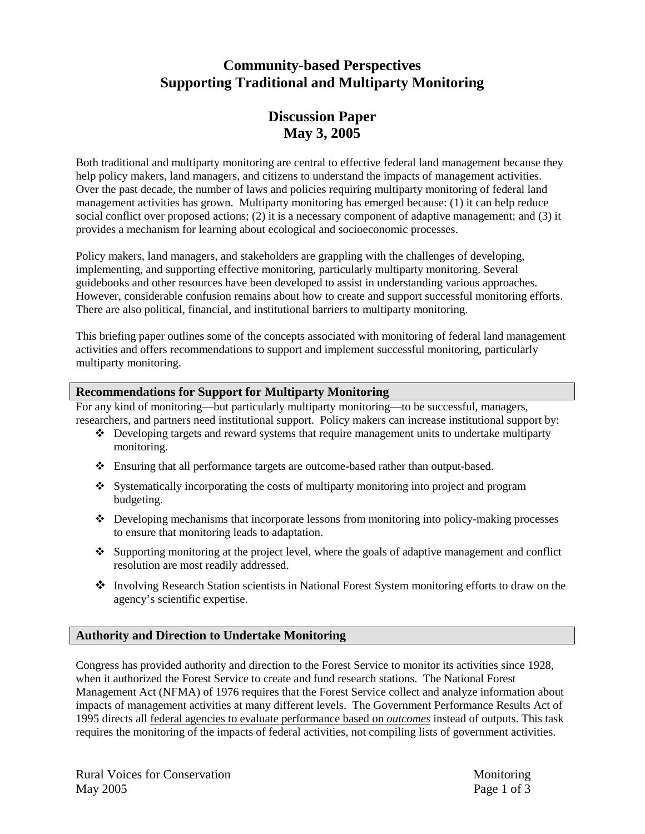## **Community-based Perspectives Supporting Traditional and Multiparty Monitoring**

### **Discussion Paper May 3, 2005**

Both traditional and multiparty monitoring are central to effective federal land management because they help policy makers, land managers, and citizens to understand the impacts of management activities. Over the past decade, the number of laws and policies requiring multiparty monitoring of federal land management activities has grown. Multiparty monitoring has emerged because: (1) it can help reduce social conflict over proposed actions; (2) it is a necessary component of adaptive management; and (3) it provides a mechanism for learning about ecological and socioeconomic processes.

Policy makers, land managers, and stakeholders are grappling with the challenges of developing, implementing, and supporting effective monitoring, particularly multiparty monitoring. Several guidebooks and other resources have been developed to assist in understanding various approaches. However, considerable confusion remains about how to create and support successful monitoring efforts. There are also political, financial, and institutional barriers to multiparty monitoring.

This briefing paper outlines some of the concepts associated with monitoring of federal land management activities and offers recommendations to support and implement successful monitoring, particularly multiparty monitoring.

#### **Recommendations for Support for Multiparty Monitoring**

For any kind of monitoring—but particularly multiparty monitoring—to be successful, managers, researchers, and partners need institutional support. Policy makers can increase institutional support by:

- $\cdot \cdot$  Developing targets and reward systems that require management units to undertake multiparty monitoring.
- ! Ensuring that all performance targets are outcome-based rather than output-based.
- ! Systematically incorporating the costs of multiparty monitoring into project and program budgeting.
- $\bullet$  Developing mechanisms that incorporate lessons from monitoring into policy-making processes to ensure that monitoring leads to adaptation.
- $\cdot$  Supporting monitoring at the project level, where the goals of adaptive management and conflict resolution are most readily addressed.
- ! Involving Research Station scientists in National Forest System monitoring efforts to draw on the agency's scientific expertise.

#### **Authority and Direction to Undertake Monitoring**

Congress has provided authority and direction to the Forest Service to monitor its activities since 1928, when it authorized the Forest Service to create and fund research stations. The National Forest Management Act (NFMA) of 1976 requires that the Forest Service collect and analyze information about impacts of management activities at many different levels. The Government Performance Results Act of 1995 directs all federal agencies to evaluate performance based on *outcomes* instead of outputs. This task requires the monitoring of the impacts of federal activities, not compiling lists of government activities.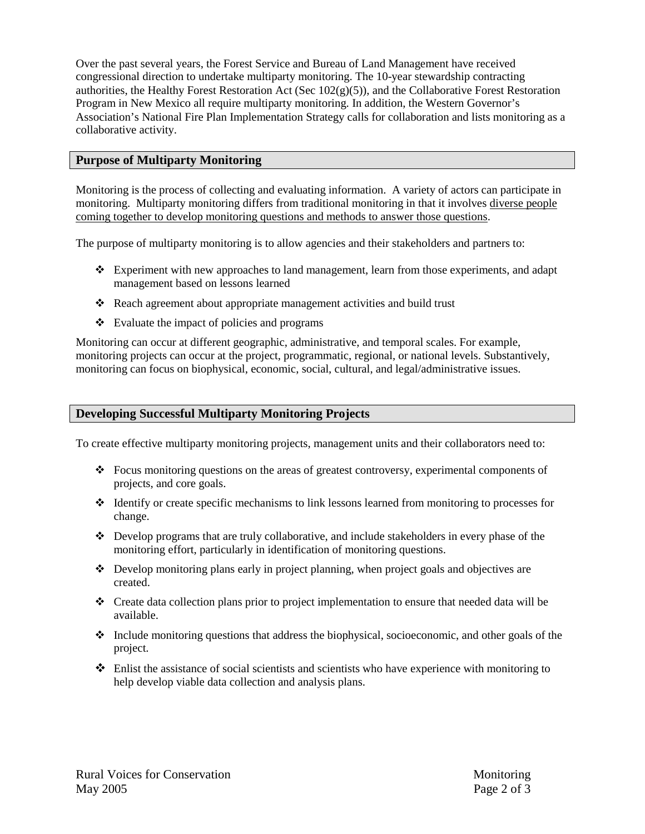Over the past several years, the Forest Service and Bureau of Land Management have received congressional direction to undertake multiparty monitoring. The 10-year stewardship contracting authorities, the Healthy Forest Restoration Act (Sec  $102(g)(5)$ ), and the Collaborative Forest Restoration Program in New Mexico all require multiparty monitoring. In addition, the Western Governor's Association's National Fire Plan Implementation Strategy calls for collaboration and lists monitoring as a collaborative activity.

#### **Purpose of Multiparty Monitoring**

Monitoring is the process of collecting and evaluating information. A variety of actors can participate in monitoring. Multiparty monitoring differs from traditional monitoring in that it involves diverse people coming together to develop monitoring questions and methods to answer those questions.

The purpose of multiparty monitoring is to allow agencies and their stakeholders and partners to:

- $\div$  Experiment with new approaches to land management, learn from those experiments, and adapt management based on lessons learned
- Reach agreement about appropriate management activities and build trust
- $\div$  Evaluate the impact of policies and programs

Monitoring can occur at different geographic, administrative, and temporal scales. For example, monitoring projects can occur at the project, programmatic, regional, or national levels. Substantively, monitoring can focus on biophysical, economic, social, cultural, and legal/administrative issues.

#### **Developing Successful Multiparty Monitoring Projects**

To create effective multiparty monitoring projects, management units and their collaborators need to:

- $\div$  Focus monitoring questions on the areas of greatest controversy, experimental components of projects, and core goals.
- $\cdot$  Identify or create specific mechanisms to link lessons learned from monitoring to processes for change.
- $\div$  Develop programs that are truly collaborative, and include stakeholders in every phase of the monitoring effort, particularly in identification of monitoring questions.
- $\cdot \cdot$  Develop monitoring plans early in project planning, when project goals and objectives are created.
- \* Create data collection plans prior to project implementation to ensure that needed data will be available.
- $\cdot$  Include monitoring questions that address the biophysical, socioeconomic, and other goals of the project.
- $\cdot \cdot$  Enlist the assistance of social scientists and scientists who have experience with monitoring to help develop viable data collection and analysis plans.